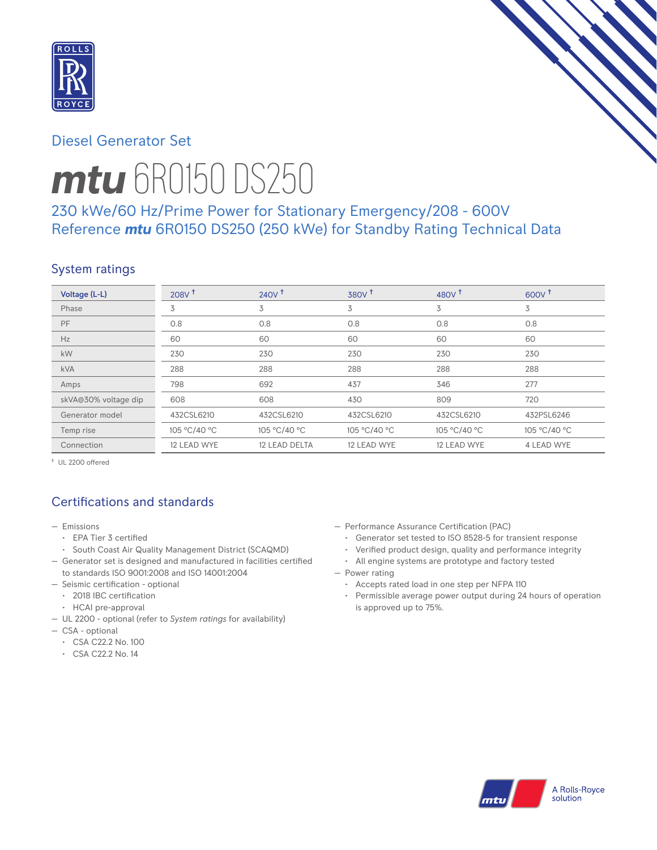

# Diesel Generator Set



# *mtu* 6R0150 DS250

# 230 kWe/60 Hz/Prime Power for Stationary Emergency/208 - 600V Reference *mtu* 6R0150 DS250 (250 kWe) for Standby Rating Technical Data

# System ratings

| Voltage (L-L)        | 208V <sup>†</sup> | $240V^{\dagger}$ | 380V <sup>†</sup> | 480 $V†$     | $600V^{\dagger}$ |
|----------------------|-------------------|------------------|-------------------|--------------|------------------|
| Phase                | 3                 | 3                | 3                 | 3            | 3                |
| PF                   | 0.8               | 0.8              | 0.8               | 0.8          | 0.8              |
| Hz                   | 60                | 60               | 60                | 60           | 60               |
| kW                   | 230               | 230              | 230               | 230          | 230              |
| <b>kVA</b>           | 288               | 288              | 288               | 288          | 288              |
| Amps                 | 798               | 692              | 437               | 346          | 277              |
| skVA@30% voltage dip | 608               | 608              | 430               | 809          | 720              |
| Generator model      | 432CSL6210        | 432CSL6210       | 432CSL6210        | 432CSL6210   | 432PSL6246       |
| Temp rise            | 105 °C/40 °C      | 105 °C/40 °C     | 105 °C/40 °C      | 105 °C/40 °C | 105 °C/40 °C     |
| Connection           | 12 LEAD WYE       | 12 LEAD DELTA    | 12 LEAD WYE       | 12 LEAD WYE  | 4 LEAD WYE       |

† UL 2200 offered

# Certifications and standards

- Emissions
	- EPA Tier 3 certified
- South Coast Air Quality Management District (SCAQMD)
- Generator set is designed and manufactured in facilities certified to standards ISO 9001:2008 and ISO 14001:2004
- Seismic certification optional
- 2018 IBC certification
- HCAI pre-approval
- UL 2200 optional (refer to *System ratings* for availability)
- CSA optional
	- CSA C22.2 No. 100
	- CSA C22.2 No. 14
- Performance Assurance Certification (PAC)
	- Generator set tested to ISO 8528-5 for transient response
- Verified product design, quality and performance integrity
- All engine systems are prototype and factory tested
- Power rating
	- Accepts rated load in one step per NFPA 110
	- Permissible average power output during 24 hours of operation is approved up to 75%.

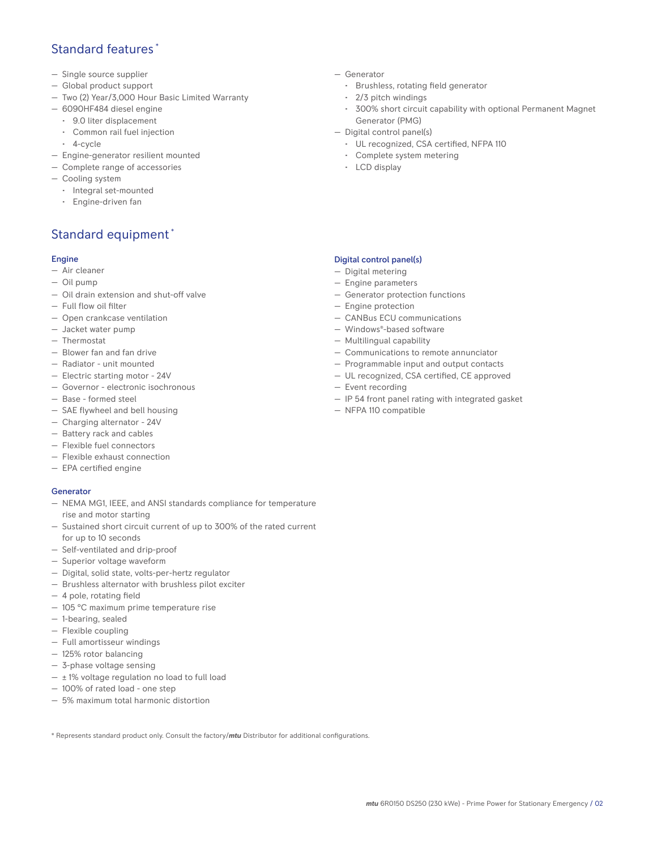## Standard features \*

- Single source supplier
- Global product support
- Two (2) Year/3,000 Hour Basic Limited Warranty
- 6090HF484 diesel engine
	- 9.0 liter displacement
	- Common rail fuel injection
	- 4-cycle
- Engine-generator resilient mounted
- Complete range of accessories
- Cooling system
- Integral set-mounted
	- Engine-driven fan

# Standard equipment \*

## Engine

- Air cleaner
- Oil pump
- Oil drain extension and shut-off valve
- Full flow oil filter
- Open crankcase ventilation
- Jacket water pump
- Thermostat
- Blower fan and fan drive
- Radiator unit mounted
- Electric starting motor 24V
- Governor electronic isochronous
- Base formed steel
- SAE flywheel and bell housing
- Charging alternator 24V
- Battery rack and cables
- Flexible fuel connectors
- Flexible exhaust connection
- EPA certified engine

#### **Generator**

- NEMA MG1, IEEE, and ANSI standards compliance for temperature rise and motor starting
- Sustained short circuit current of up to 300% of the rated current for up to 10 seconds
- Self-ventilated and drip-proof
- Superior voltage waveform
- Digital, solid state, volts-per-hertz regulator
- Brushless alternator with brushless pilot exciter
- 4 pole, rotating field
- 105 °C maximum prime temperature rise
- 1-bearing, sealed
- Flexible coupling
- Full amortisseur windings
- 125% rotor balancing
- 3-phase voltage sensing
- $\pm$  1% voltage regulation no load to full load
- 100% of rated load one step
- 5% maximum total harmonic distortion

\* Represents standard product only. Consult the factory/*mtu* Distributor for additional configurations.

- Generator
	- Brushless, rotating field generator
	- 2/3 pitch windings
	- 300% short circuit capability with optional Permanent Magnet Generator (PMG)
- Digital control panel(s)
	- UL recognized, CSA certified, NFPA 110
	- Complete system metering
	- LCD display

## Digital control panel(s)

- Digital metering
- Engine parameters
- Generator protection functions
- Engine protection
- CANBus ECU communications
- Windows®-based software
- Multilingual capability
- Communications to remote annunciator
- Programmable input and output contacts
- UL recognized, CSA certified, CE approved
- Event recording
- IP 54 front panel rating with integrated gasket
- NFPA 110 compatible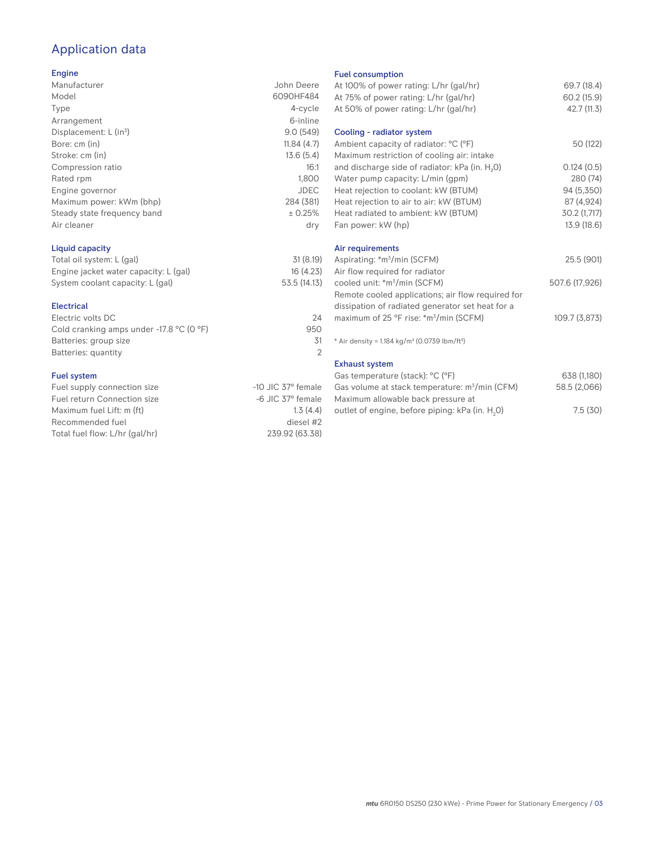# Application data

#### Engine

| Manufacturer                | John Deere  |
|-----------------------------|-------------|
| Model                       | 6090HF484   |
| Type                        | 4-cycle     |
| Arrangement                 | 6-inline    |
| Displacement: $L (in3)$     | 9.0(549)    |
| Bore: cm (in)               | 11.84(4.7)  |
| Stroke: cm (in)             | 13.6(5.4)   |
| Compression ratio           | 16:1        |
| Rated rpm                   | 1.800       |
| Engine governor             | <b>JDEC</b> |
| Maximum power: kWm (bhp)    | 284 (381)   |
| Steady state frequency band | ± 0.25%     |
| Air cleaner                 | dry         |
|                             |             |

## Liquid capacity

| Total oil system: L (gal)             | 31(8.19)     |
|---------------------------------------|--------------|
| Engine jacket water capacity: L (gal) | 16(4.23)     |
| System coolant capacity: L (gal)      | 53.5 (14.13) |

#### Electrical

| Electric volts DC                                            | 24  |
|--------------------------------------------------------------|-----|
| Cold cranking amps under -17.8 $^{\circ}$ C (O $^{\circ}$ F) | 950 |
| Batteries: group size                                        | .31 |
| Batteries: quantity                                          |     |
|                                                              |     |

## Fuel system

| $-10$ JIC 37 $^{\circ}$ female |
|--------------------------------|
| $-6$ JIC $37^\circ$ female     |
| 1.3(4.4)                       |
| diesel #2                      |
| 239.92 (63.38)                 |
|                                |

#### Fuel consumption

| At 100% of power rating: L/hr (gal/hr)<br>At 75% of power rating: L/hr (gal/hr)<br>At 50% of power rating: L/hr (gal/hr) | 69.7 (18.4)<br>60.2 (15.9)<br>42.7 (11.3) |
|--------------------------------------------------------------------------------------------------------------------------|-------------------------------------------|
| Cooling - radiator system                                                                                                |                                           |
| Ambient capacity of radiator: °C (°F)<br>Maximum restriction of cooling air: intake                                      | 50 (122)                                  |
| and discharge side of radiator: kPa (in. H <sub>2</sub> O)                                                               | 0.124(0.5)                                |
| Water pump capacity: L/min (gpm)                                                                                         | 280 (74)                                  |
| Heat rejection to coolant: kW (BTUM)                                                                                     | 94 (5,350)                                |
| Heat rejection to air to air: kW (BTUM)                                                                                  | 87 (4,924)                                |
| Heat radiated to ambient: kW (BTUM)                                                                                      | 30.2 (1,717)                              |
| Fan power: kW (hp)                                                                                                       | 13.9 (18.6)                               |
| Air requirements                                                                                                         |                                           |
| Aspirating: *m <sup>3</sup> /min (SCFM)                                                                                  | 25.5 (901)                                |
| Air flow required for radiator                                                                                           |                                           |
| cooled unit: *m <sup>3</sup> /min (SCFM)                                                                                 | 507.6 (17,926)                            |
| Remote cooled applications; air flow required for                                                                        |                                           |
| dissipation of radiated generator set heat for a                                                                         |                                           |
| maximum of 25 °F rise: *m <sup>3</sup> /min (SCFM)                                                                       | 109.7 (3,873)                             |
| * Air density = $1.184 \text{ kg/m}^3$ (0.0739 lbm/ft <sup>3</sup> )                                                     |                                           |
| <b>Exhaust system</b>                                                                                                    |                                           |
| Gas temperature (stack): °C (°F)                                                                                         | 638 (1,180)                               |
| Gas volume at stack temperature: m <sup>3</sup> /min (CFM)                                                               | 58.5 (2,066)                              |
| Maximum allowable back pressure at                                                                                       |                                           |
| outlet of engine, before piping: kPa (in. H <sub>2</sub> 0)                                                              | 7.5(30)                                   |